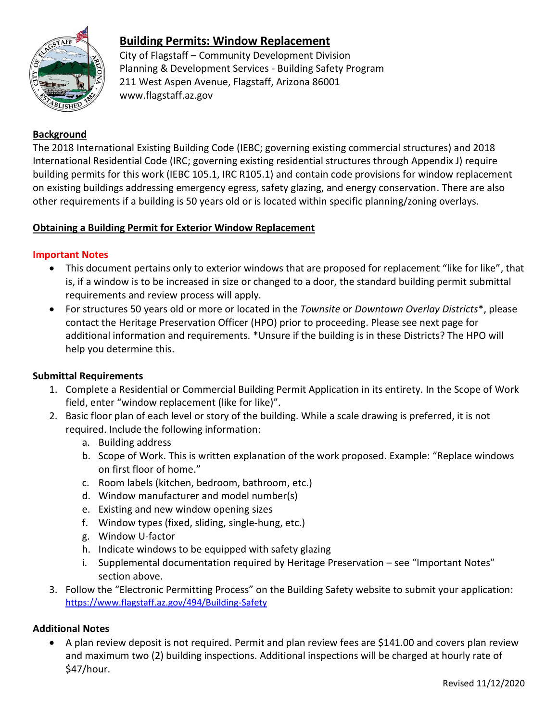

## **Building Permits: Window Replacement**

City of Flagstaff – Community Development Division Planning & Development Services - Building Safety Program 211 West Aspen Avenue, Flagstaff, Arizona 86001 www.flagstaff.az.gov

### **Background**

The 2018 International Existing Building Code (IEBC; governing existing commercial structures) and 2018 International Residential Code (IRC; governing existing residential structures through Appendix J) require building permits for this work (IEBC 105.1, IRC R105.1) and contain code provisions for window replacement on existing buildings addressing emergency egress, safety glazing, and energy conservation. There are also other requirements if a building is 50 years old or is located within specific planning/zoning overlays.

#### **Obtaining a Building Permit for Exterior Window Replacement**

#### **Important Notes**

- This document pertains only to exterior windows that are proposed for replacement "like for like", that is, if a window is to be increased in size or changed to a door, the standard building permit submittal requirements and review process will apply.
- For structures 50 years old or more or located in the *Townsite* or *Downtown Overlay Districts*\*, please contact the Heritage Preservation Officer (HPO) prior to proceeding. Please see next page for additional information and requirements. \*Unsure if the building is in these Districts? The HPO will help you determine this.

#### **Submittal Requirements**

- 1. Complete a Residential or Commercial Building Permit Application in its entirety. In the Scope of Work field, enter "window replacement (like for like)".
- 2. Basic floor plan of each level or story of the building. While a scale drawing is preferred, it is not required. Include the following information:
	- a. Building address
	- b. Scope of Work. This is written explanation of the work proposed. Example: "Replace windows on first floor of home."
	- c. Room labels (kitchen, bedroom, bathroom, etc.)
	- d. Window manufacturer and model number(s)
	- e. Existing and new window opening sizes
	- f. Window types (fixed, sliding, single-hung, etc.)
	- g. Window U-factor
	- h. Indicate windows to be equipped with safety glazing
	- i. Supplemental documentation required by Heritage Preservation see "Important Notes" section above.
- 3. Follow the "Electronic Permitting Process" on the Building Safety website to submit your application: <https://www.flagstaff.az.gov/494/Building-Safety>

#### **Additional Notes**

• A plan review deposit is not required. Permit and plan review fees are \$141.00 and covers plan review and maximum two (2) building inspections. Additional inspections will be charged at hourly rate of \$47/hour.